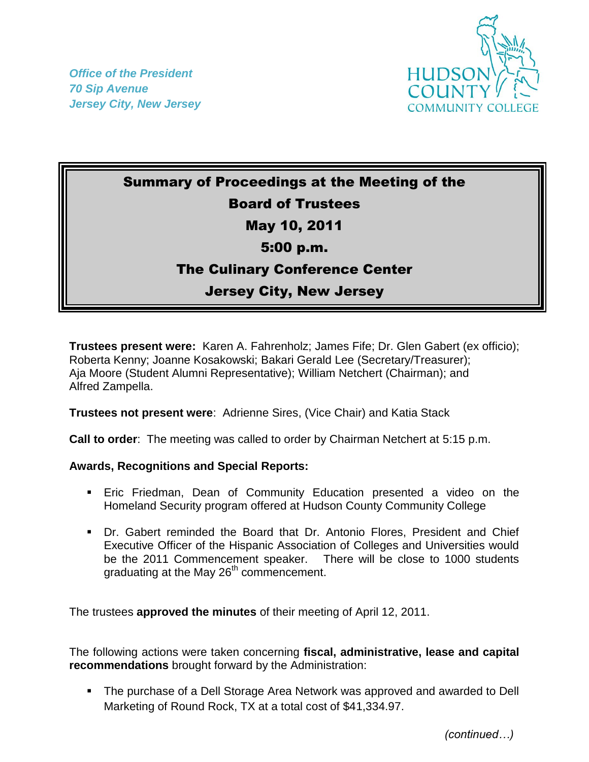*Office of the President 70 Sip Avenue Jersey City, New Jersey*



## Summary of Proceedings at the Meeting of the Board of Trustees May 10, 2011 5:00 p.m. The Culinary Conference Center Jersey City, New Jersey

**Trustees present were:** Karen A. Fahrenholz; James Fife; Dr. Glen Gabert (ex officio); Roberta Kenny; Joanne Kosakowski; Bakari Gerald Lee (Secretary/Treasurer); Aja Moore (Student Alumni Representative); William Netchert (Chairman); and Alfred Zampella.

**Trustees not present were**: Adrienne Sires, (Vice Chair) and Katia Stack

**Call to order**: The meeting was called to order by Chairman Netchert at 5:15 p.m.

## **Awards, Recognitions and Special Reports:**

- Eric Friedman, Dean of Community Education presented a video on the Homeland Security program offered at Hudson County Community College
- Dr. Gabert reminded the Board that Dr. Antonio Flores, President and Chief Executive Officer of the Hispanic Association of Colleges and Universities would be the 2011 Commencement speaker. There will be close to 1000 students graduating at the May 26<sup>th</sup> commencement.

The trustees **approved the minutes** of their meeting of April 12, 2011.

The following actions were taken concerning **fiscal, administrative, lease and capital recommendations** brought forward by the Administration:

**The purchase of a Dell Storage Area Network was approved and awarded to Dell** Marketing of Round Rock, TX at a total cost of \$41,334.97.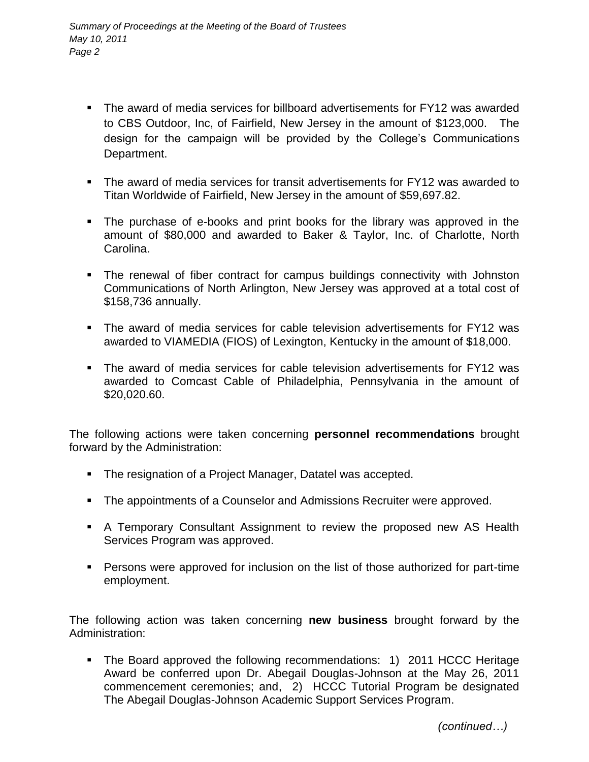- The award of media services for billboard advertisements for FY12 was awarded to CBS Outdoor, Inc, of Fairfield, New Jersey in the amount of \$123,000. The design for the campaign will be provided by the College's Communications Department.
- The award of media services for transit advertisements for FY12 was awarded to Titan Worldwide of Fairfield, New Jersey in the amount of \$59,697.82.
- The purchase of e-books and print books for the library was approved in the amount of \$80,000 and awarded to Baker & Taylor, Inc. of Charlotte, North Carolina.
- The renewal of fiber contract for campus buildings connectivity with Johnston Communications of North Arlington, New Jersey was approved at a total cost of \$158,736 annually.
- The award of media services for cable television advertisements for FY12 was awarded to VIAMEDIA (FIOS) of Lexington, Kentucky in the amount of \$18,000.
- The award of media services for cable television advertisements for FY12 was awarded to Comcast Cable of Philadelphia, Pennsylvania in the amount of \$20,020.60.

The following actions were taken concerning **personnel recommendations** brought forward by the Administration:

- The resignation of a Project Manager, Datatel was accepted.
- The appointments of a Counselor and Admissions Recruiter were approved.
- A Temporary Consultant Assignment to review the proposed new AS Health Services Program was approved.
- Persons were approved for inclusion on the list of those authorized for part-time employment.

The following action was taken concerning **new business** brought forward by the Administration:

• The Board approved the following recommendations: 1) 2011 HCCC Heritage Award be conferred upon Dr. Abegail Douglas-Johnson at the May 26, 2011 commencement ceremonies; and, 2) HCCC Tutorial Program be designated The Abegail Douglas-Johnson Academic Support Services Program.